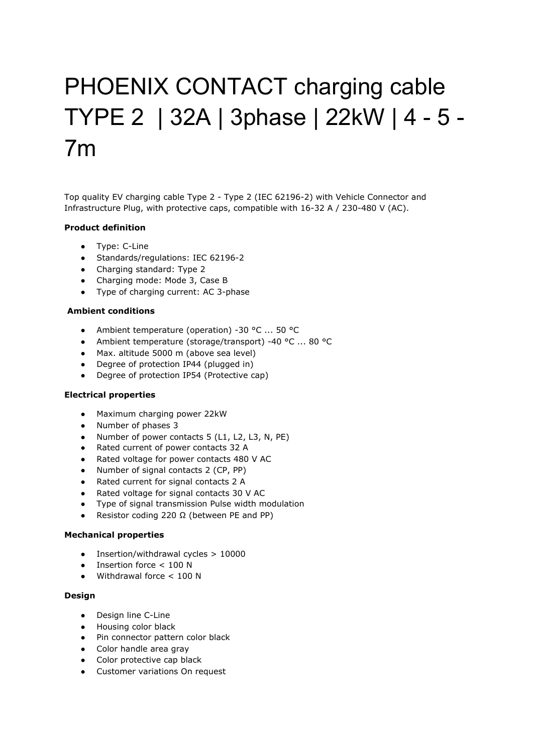# PHOENIX CONTACT charging cable TYPE 2 | 32A | 3phase | 22kW | 4 - 5 - 7m

Top quality EV charging cable Type 2 - Type 2 (IEC 62196-2) with Vehicle Connector and Infrastructure Plug, with protective caps, compatible with 16-32 A / 230-480 V (AC).

## **Product definition**

- Type: C-Line
- Standards/regulations: IEC 62196-2
- Charging standard: Type 2
- Charging mode: Mode 3, Case B
- Type of charging current: AC 3-phase

### **Ambient conditions**

- Ambient temperature (operation) -30 °C ... 50 °C
- Ambient temperature (storage/transport) -40 °C ... 80 °C
- Max. altitude 5000 m (above sea level)
- Degree of protection IP44 (plugged in)
- Degree of protection IP54 (Protective cap)

#### **Electrical properties**

- Maximum charging power 22kW
- Number of phases 3
- Number of power contacts 5 (L1, L2, L3, N, PE)
- Rated current of power contacts 32 A
- Rated voltage for power contacts 480 V AC
- Number of signal contacts 2 (CP, PP)
- Rated current for signal contacts 2 A
- Rated voltage for signal contacts 30 V AC
- Type of signal transmission Pulse width modulation
- Resistor coding 220 Ω (between PE and PP)

## **Mechanical properties**

- Insertion/withdrawal cycles > 10000
- Insertion force < 100 N
- Withdrawal force < 100 N

#### **Design**

- Design line C-Line
- Housing color black
- Pin connector pattern color black
- Color handle area gray
- Color protective cap black
- Customer variations On request